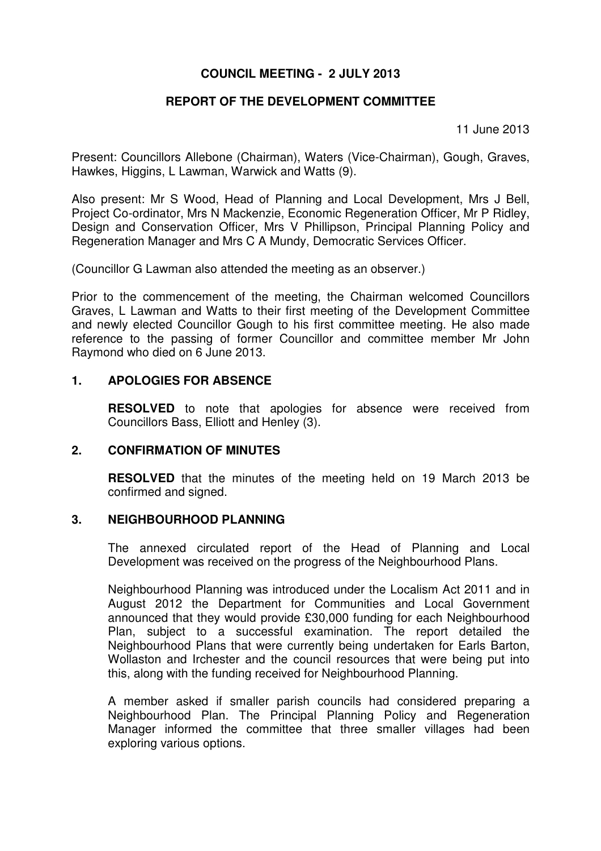# **COUNCIL MEETING - 2 JULY 2013**

# **REPORT OF THE DEVELOPMENT COMMITTEE**

11 June 2013

Present: Councillors Allebone (Chairman), Waters (Vice-Chairman), Gough, Graves, Hawkes, Higgins, L Lawman, Warwick and Watts (9).

Also present: Mr S Wood, Head of Planning and Local Development, Mrs J Bell, Project Co-ordinator, Mrs N Mackenzie, Economic Regeneration Officer, Mr P Ridley, Design and Conservation Officer, Mrs V Phillipson, Principal Planning Policy and Regeneration Manager and Mrs C A Mundy, Democratic Services Officer.

(Councillor G Lawman also attended the meeting as an observer.)

Prior to the commencement of the meeting, the Chairman welcomed Councillors Graves, L Lawman and Watts to their first meeting of the Development Committee and newly elected Councillor Gough to his first committee meeting. He also made reference to the passing of former Councillor and committee member Mr John Raymond who died on 6 June 2013.

### **1. APOLOGIES FOR ABSENCE**

**RESOLVED** to note that apologies for absence were received from Councillors Bass, Elliott and Henley (3).

#### **2. CONFIRMATION OF MINUTES**

 **RESOLVED** that the minutes of the meeting held on 19 March 2013 be confirmed and signed.

#### **3. NEIGHBOURHOOD PLANNING**

The annexed circulated report of the Head of Planning and Local Development was received on the progress of the Neighbourhood Plans.

Neighbourhood Planning was introduced under the Localism Act 2011 and in August 2012 the Department for Communities and Local Government announced that they would provide £30,000 funding for each Neighbourhood Plan, subject to a successful examination. The report detailed the Neighbourhood Plans that were currently being undertaken for Earls Barton, Wollaston and Irchester and the council resources that were being put into this, along with the funding received for Neighbourhood Planning.

A member asked if smaller parish councils had considered preparing a Neighbourhood Plan. The Principal Planning Policy and Regeneration Manager informed the committee that three smaller villages had been exploring various options.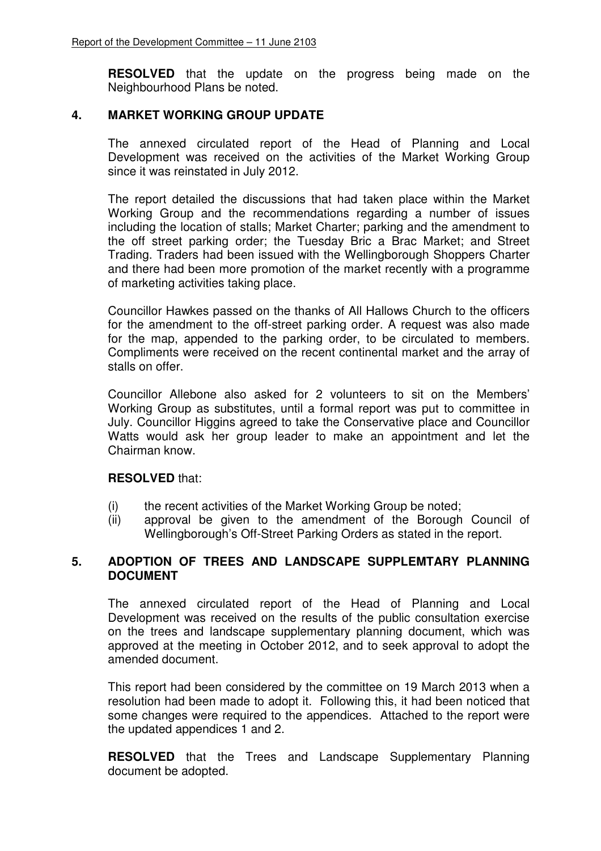**RESOLVED** that the update on the progress being made on the Neighbourhood Plans be noted.

### **4. MARKET WORKING GROUP UPDATE**

The annexed circulated report of the Head of Planning and Local Development was received on the activities of the Market Working Group since it was reinstated in July 2012.

The report detailed the discussions that had taken place within the Market Working Group and the recommendations regarding a number of issues including the location of stalls; Market Charter; parking and the amendment to the off street parking order; the Tuesday Bric a Brac Market; and Street Trading. Traders had been issued with the Wellingborough Shoppers Charter and there had been more promotion of the market recently with a programme of marketing activities taking place.

Councillor Hawkes passed on the thanks of All Hallows Church to the officers for the amendment to the off-street parking order. A request was also made for the map, appended to the parking order, to be circulated to members. Compliments were received on the recent continental market and the array of stalls on offer.

Councillor Allebone also asked for 2 volunteers to sit on the Members' Working Group as substitutes, until a formal report was put to committee in July. Councillor Higgins agreed to take the Conservative place and Councillor Watts would ask her group leader to make an appointment and let the Chairman know.

#### **RESOLVED** that:

- (i) the recent activities of the Market Working Group be noted;
- (ii) approval be given to the amendment of the Borough Council of Wellingborough's Off-Street Parking Orders as stated in the report.

## **5. ADOPTION OF TREES AND LANDSCAPE SUPPLEMTARY PLANNING DOCUMENT**

The annexed circulated report of the Head of Planning and Local Development was received on the results of the public consultation exercise on the trees and landscape supplementary planning document, which was approved at the meeting in October 2012, and to seek approval to adopt the amended document.

This report had been considered by the committee on 19 March 2013 when a resolution had been made to adopt it. Following this, it had been noticed that some changes were required to the appendices. Attached to the report were the updated appendices 1 and 2.

**RESOLVED** that the Trees and Landscape Supplementary Planning document be adopted.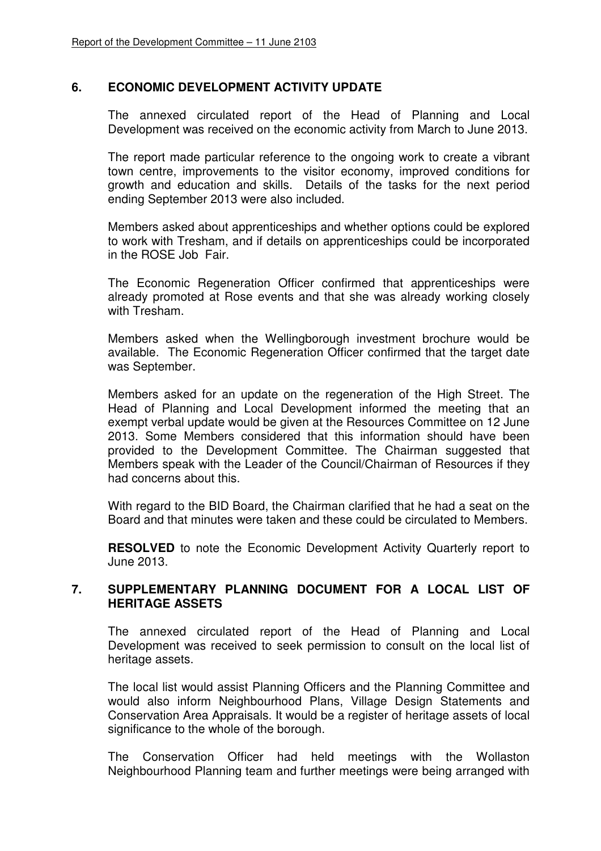## **6. ECONOMIC DEVELOPMENT ACTIVITY UPDATE**

The annexed circulated report of the Head of Planning and Local Development was received on the economic activity from March to June 2013.

The report made particular reference to the ongoing work to create a vibrant town centre, improvements to the visitor economy, improved conditions for growth and education and skills. Details of the tasks for the next period ending September 2013 were also included.

Members asked about apprenticeships and whether options could be explored to work with Tresham, and if details on apprenticeships could be incorporated in the ROSE Job Fair.

The Economic Regeneration Officer confirmed that apprenticeships were already promoted at Rose events and that she was already working closely with Tresham.

Members asked when the Wellingborough investment brochure would be available. The Economic Regeneration Officer confirmed that the target date was September.

Members asked for an update on the regeneration of the High Street. The Head of Planning and Local Development informed the meeting that an exempt verbal update would be given at the Resources Committee on 12 June 2013. Some Members considered that this information should have been provided to the Development Committee. The Chairman suggested that Members speak with the Leader of the Council/Chairman of Resources if they had concerns about this.

With regard to the BID Board, the Chairman clarified that he had a seat on the Board and that minutes were taken and these could be circulated to Members.

**RESOLVED** to note the Economic Development Activity Quarterly report to June 2013.

## **7. SUPPLEMENTARY PLANNING DOCUMENT FOR A LOCAL LIST OF HERITAGE ASSETS**

The annexed circulated report of the Head of Planning and Local Development was received to seek permission to consult on the local list of heritage assets.

The local list would assist Planning Officers and the Planning Committee and would also inform Neighbourhood Plans, Village Design Statements and Conservation Area Appraisals. It would be a register of heritage assets of local significance to the whole of the borough.

The Conservation Officer had held meetings with the Wollaston Neighbourhood Planning team and further meetings were being arranged with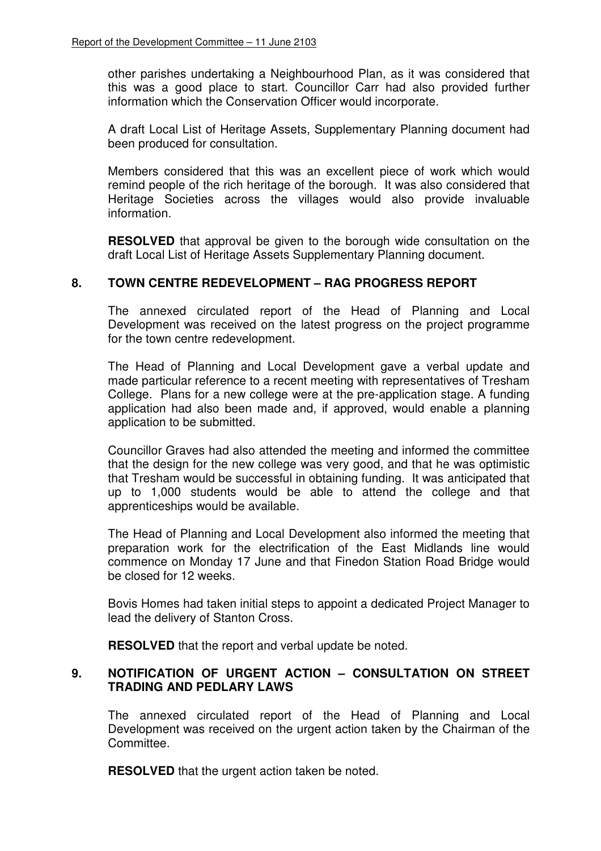other parishes undertaking a Neighbourhood Plan, as it was considered that this was a good place to start. Councillor Carr had also provided further information which the Conservation Officer would incorporate.

A draft Local List of Heritage Assets, Supplementary Planning document had been produced for consultation.

Members considered that this was an excellent piece of work which would remind people of the rich heritage of the borough. It was also considered that Heritage Societies across the villages would also provide invaluable information.

**RESOLVED** that approval be given to the borough wide consultation on the draft Local List of Heritage Assets Supplementary Planning document.

### **8. TOWN CENTRE REDEVELOPMENT – RAG PROGRESS REPORT**

The annexed circulated report of the Head of Planning and Local Development was received on the latest progress on the project programme for the town centre redevelopment.

The Head of Planning and Local Development gave a verbal update and made particular reference to a recent meeting with representatives of Tresham College. Plans for a new college were at the pre-application stage. A funding application had also been made and, if approved, would enable a planning application to be submitted.

Councillor Graves had also attended the meeting and informed the committee that the design for the new college was very good, and that he was optimistic that Tresham would be successful in obtaining funding. It was anticipated that up to 1,000 students would be able to attend the college and that apprenticeships would be available.

The Head of Planning and Local Development also informed the meeting that preparation work for the electrification of the East Midlands line would commence on Monday 17 June and that Finedon Station Road Bridge would be closed for 12 weeks.

Bovis Homes had taken initial steps to appoint a dedicated Project Manager to lead the delivery of Stanton Cross.

**RESOLVED** that the report and verbal update be noted.

## **9. NOTIFICATION OF URGENT ACTION – CONSULTATION ON STREET TRADING AND PEDLARY LAWS**

The annexed circulated report of the Head of Planning and Local Development was received on the urgent action taken by the Chairman of the Committee.

**RESOLVED** that the urgent action taken be noted.